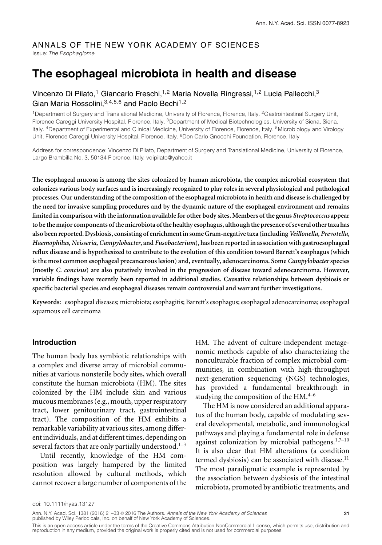# ANNALS OF THE NEW YORK ACADEMY OF SCIENCES

Issue: *The Esophagiome*

# **The esophageal microbiota in health and disease**

# Vincenzo Di Pilato,<sup>1</sup> Giancarlo Freschi,<sup>1,2</sup> Maria Novella Ringressi,<sup>1,2</sup> Lucia Pallecchi,<sup>3</sup> Gian Maria Rossolini, 3,4,5,6 and Paolo Bechi<sup>1,2</sup>

<sup>1</sup>Department of Surgery and Translational Medicine, University of Florence, Florence, Italy. <sup>2</sup>Gastrointestinal Surgery Unit, Florence Careggi University Hospital, Florence, Italy. <sup>3</sup>Department of Medical Biotechnologies, University of Siena, Siena, Italy. <sup>4</sup>Department of Experimental and Clinical Medicine, University of Florence, Florence, Italy. <sup>5</sup>Microbiology and Virology Unit, Florence Careggi University Hospital, Florence, Italy. <sup>6</sup>Don Carlo Gnocchi Foundation, Florence, Italy

Address for correspondence: Vincenzo Di Pilato, Department of Surgery and Translational Medicine, University of Florence, Largo Brambilla No. 3, 50134 Florence, Italy. vdipilato@yahoo.it

**The esophageal mucosa is among the sites colonized by human microbiota, the complex microbial ecosystem that colonizes various body surfaces and is increasingly recognized to play roles in several physiological and pathological processes. Our understanding of the composition of the esophageal microbiota in health and disease is challenged by the need for invasive sampling procedures and by the dynamic nature of the esophageal environment and remains limited in comparison with the information available for other body sites. Members of the genus** *Streptococcus* **appear to be the major components of the microbiota of the healthy esophagus, although the presence of several other taxa has also been reported. Dysbiosis, consisting of enrichment in some Gram-negative taxa (including***Veillonella***,** *Prevotella***,** *Haemophilus***,** *Neisseria***,** *Campylobacter***, and** *Fusobacterium***), has been reported in association with gastroesophageal reflux disease and is hypothesized to contribute to the evolution of this condition toward Barrett's esophagus (which is the most common esophageal precancerous lesion) and, eventually, adenocarcinoma. Some** *Campylobacter* **species (mostly** *C. concisus***) are also putatively involved in the progression of disease toward adenocarcinoma. However, variable findings have recently been reported in additional studies. Causative relationships between dysbiosis or specific bacterial species and esophageal diseases remain controversial and warrant further investigations.**

**Keywords:** esophageal diseases; microbiota; esophagitis; Barrett's esophagus; esophageal adenocarcinoma; esophageal squamous cell carcinoma

## **Introduction**

The human body has symbiotic relationships with a complex and diverse array of microbial communities at various nonsterile body sites, which overall constitute the human microbiota (HM). The sites colonized by the HM include skin and various mucous membranes (e.g., mouth, upper respiratory tract, lower genitourinary tract, gastrointestinal tract). The composition of the HM exhibits a remarkable variability at various sites, among different individuals, and at different times, depending on several factors that are only partially understood.<sup>1-3</sup>

Until recently, knowledge of the HM composition was largely hampered by the limited resolution allowed by cultural methods, which cannot recover a large number of components of the HM. The advent of culture-independent metagenomic methods capable of also characterizing the nonculturable fraction of complex microbial communities, in combination with high-throughput next-generation sequencing (NGS) technologies, has provided a fundamental breakthrough in studying the composition of the  $HM.<sup>4-6</sup>$ 

The HM is now considered an additional apparatus of the human body, capable of modulating several developmental, metabolic, and immunological pathways and playing a fundamental role in defense against colonization by microbial pathogens. $1,7-10$ It is also clear that HM alterations (a condition termed dysbiosis) can be associated with disease.<sup>11</sup> The most paradigmatic example is represented by the association between dysbiosis of the intestinal microbiota, promoted by antibiotic treatments, and

doi: 10.1111/nyas.13127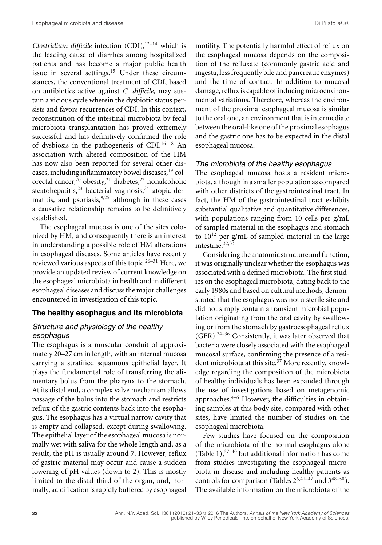*Clostridium difficile* infection (CDI),<sup>12–14</sup> which is the leading cause of diarrhea among hospitalized patients and has become a major public health issue in several settings.<sup>15</sup> Under these circumstances, the conventional treatment of CDI, based on antibiotics active against *C. difficile*, may sustain a vicious cycle wherein the dysbiotic status persists and favors recurrences of CDI. In this context, reconstitution of the intestinal microbiota by fecal microbiota transplantation has proved extremely successful and has definitively confirmed the role of dysbiosis in the pathogenesis of CDI. $16-18$  An association with altered composition of the HM has now also been reported for several other diseases, including inflammatory bowel diseases,<sup>19</sup> colorectal cancer,<sup>20</sup> obesity,<sup>21</sup> diabetes,<sup>22</sup> nonalcoholic steatohepatitis,  $23$  bacterial vaginosis,  $24$  atopic dermatitis, and psoriasis, 9,25 although in these cases a causative relationship remains to be definitively established.

The esophageal mucosa is one of the sites colonized by HM, and consequently there is an interest in understanding a possible role of HM alterations in esophageal diseases. Some articles have recently reviewed various aspects of this topic.<sup>26–31</sup> Here, we provide an updated review of current knowledge on the esophageal microbiota in health and in different esophageal diseases and discuss the major challenges encountered in investigation of this topic.

## **The healthy esophagus and its microbiota**

## *Structure and physiology of the healthy esophagus*

The esophagus is a muscular conduit of approximately 20–27 cm in length, with an internal mucosa carrying a stratified squamous epithelial layer. It plays the fundamental role of transferring the alimentary bolus from the pharynx to the stomach. At its distal end, a complex valve mechanism allows passage of the bolus into the stomach and restricts reflux of the gastric contents back into the esophagus. The esophagus has a virtual narrow cavity that is empty and collapsed, except during swallowing. The epithelial layer of the esophageal mucosa is normally wet with saliva for the whole length and, as a result, the pH is usually around 7. However, reflux of gastric material may occur and cause a sudden lowering of pH values (down to 2). This is mostly limited to the distal third of the organ, and, normally, acidification is rapidly buffered by esophageal motility. The potentially harmful effect of reflux on the esophageal mucosa depends on the composition of the refluxate (commonly gastric acid and ingesta, less frequently bile and pancreatic enzymes) and the time of contact. In addition to mucosal damage, reflux is capable of inducing microenvironmental variations. Therefore, whereas the environment of the proximal esophageal mucosa is similar to the oral one, an environment that is intermediate between the oral-like one of the proximal esophagus and the gastric one has to be expected in the distal esophageal mucosa.

### *The microbiota of the healthy esophagus*

The esophageal mucosa hosts a resident microbiota, although in a smaller population as compared with other districts of the gastrointestinal tract. In fact, the HM of the gastrointestinal tract exhibits substantial qualitative and quantitative differences, with populations ranging from 10 cells per g/mL of sampled material in the esophagus and stomach to  $10^{12}$  per g/mL of sampled material in the large intestine.32,33

Considering the anatomic structure and function, it was originally unclear whether the esophagus was associated with a defined microbiota. The first studies on the esophageal microbiota, dating back to the early 1980s and based on cultural methods, demonstrated that the esophagus was not a sterile site and did not simply contain a transient microbial population originating from the oral cavity by swallowing or from the stomach by gastroesophageal reflux (GER).34–36 Consistently, it was later observed that bacteria were closely associated with the esophageal mucosal surface, confirming the presence of a resident microbiota at this site. $37$  More recently, knowledge regarding the composition of the microbiota of healthy individuals has been expanded through the use of investigations based on metagenomic approaches. $4-6$  However, the difficulties in obtaining samples at this body site, compared with other sites, have limited the number of studies on the esophageal microbiota.

Few studies have focused on the composition of the microbiota of the normal esophagus alone (Table 1),  $37-40$  but additional information has come from studies investigating the esophageal microbiota in disease and including healthy patients as controls for comparison (Tables  $2^{6,41-47}$  and  $3^{48-50}$ ). The available information on the microbiota of the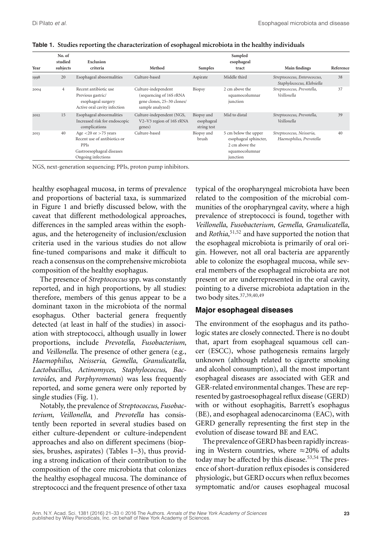|      | No. of<br>studied | Exclusion                                                                                                             | Sampled<br>esophageal                                                                            |                                         |                                                                                               |                                                            |           |  |  |
|------|-------------------|-----------------------------------------------------------------------------------------------------------------------|--------------------------------------------------------------------------------------------------|-----------------------------------------|-----------------------------------------------------------------------------------------------|------------------------------------------------------------|-----------|--|--|
| Year | subjects          | criteria                                                                                                              | Method                                                                                           | <b>Samples</b>                          | tract                                                                                         | Main findings                                              | Reference |  |  |
| 1998 | 20                | Esophageal abnormalities                                                                                              | Culture-based                                                                                    | Aspirate                                | Middle third                                                                                  | Streptococcus, Enterococcus,<br>Staphylococcus, Klebsiella | 38        |  |  |
| 2004 | 4                 | Recent antibiotic use<br>Previous gastric/<br>esophageal surgery<br>Active oral cavity infection                      | Culture-independent<br>(sequencing of 16S rRNA<br>gene clones, 25-30 clones/<br>sample analyzed) | Biopsy                                  | 2 cm above the<br>squamocolumnar<br>junction                                                  | Streptococcus, Prevotella,<br>Veillonella                  | 37        |  |  |
| 2012 | 15                | Esophageal abnormalities<br>Increased risk for endoscopic<br>complications                                            | Culture-independent (NGS,<br>V2-V3 region of 16S rRNA<br>genes)                                  | Biopsy and<br>esophageal<br>string test | Mid to distal                                                                                 | Streptococcus, Prevotella,<br>Veillonella                  | 39        |  |  |
| 2013 | 40                | Age $<$ 20 or $>$ 75 years<br>Recent use of antibiotics or<br>PPIs<br>Gastroesophageal diseases<br>Ongoing infections | Culture-based                                                                                    | Biopsy and<br>brush                     | 5 cm below the upper<br>esophageal sphincter,<br>2 cm above the<br>squamocolumnar<br>junction | Streptococcus, Neisseria,<br>Haemophilus, Prevotella       | 40        |  |  |

NGS, next-generation sequencing; PPIs, proton pump inhibitors.

healthy esophageal mucosa, in terms of prevalence and proportions of bacterial taxa, is summarized in Figure 1 and briefly discussed below, with the caveat that different methodological approaches, differences in the sampled areas within the esophagus, and the heterogeneity of inclusion/exclusion criteria used in the various studies do not allow fine-tuned comparisons and make it difficult to reach a consensus on the comprehensive microbiota composition of the healthy esophagus.

The presence of *Streptococcus* spp. was constantly reported, and in high proportions, by all studies: therefore, members of this genus appear to be a dominant taxon in the microbiota of the normal esophagus. Other bacterial genera frequently detected (at least in half of the studies) in association with streptococci, although usually in lower proportions, include *Prevotella*, *Fusobacterium*, and *Veillonella*. The presence of other genera (e.g., *Haemophilus*, *Neisseria*, *Gemella*, *Granulicatella*, *Lactobacillus*, *Actinomyces*, *Staphylococcus*, *Bacteroides*, and *Porphyromonas*) was less frequently reported, and some genera were only reported by single studies (Fig. 1).

Notably, the prevalence of *Streptococcus*, *Fusobacterium*, *Veillonella*, and *Prevotella* has consistently been reported in several studies based on either culture-dependent or culture-independent approaches and also on different specimens (biopsies, brushes, aspirates) (Tables 1–3), thus providing a strong indication of their contribution to the composition of the core microbiota that colonizes the healthy esophageal mucosa. The dominance of streptococci and the frequent presence of other taxa

typical of the oropharyngeal microbiota have been related to the composition of the microbial communities of the oropharyngeal cavity, where a high prevalence of streptococci is found, together with *Veillonella*, *Fusobacterium*, *Gemella*, *Granulicatella*, and *Rothia*, 51,52 and have supported the notion that the esophageal microbiota is primarily of oral origin. However, not all oral bacteria are apparently able to colonize the esophageal mucosa, while several members of the esophageal microbiota are not present or are underrepresented in the oral cavity, pointing to a diverse microbiota adaptation in the two body sites.<sup>37,39,40,49</sup>

# **Major esophageal diseases**

The environment of the esophagus and its pathologic states are closely connected. There is no doubt that, apart from esophageal squamous cell cancer (ESCC), whose pathogenesis remains largely unknown (although related to cigarette smoking and alcohol consumption), all the most important esophageal diseases are associated with GER and GER-related environmental changes. These are represented by gastroesophageal reflux disease (GERD) with or without esophagitis, Barrett's esophagus (BE), and esophageal adenocarcinoma (EAC), with GERD generally representing the first step in the evolution of disease toward BE and EAC.

The prevalence of GERD has been rapidly increasing in Western countries, where  $\approx$ 20% of adults today may be affected by this disease.<sup>53,54</sup> The presence of short-duration reflux episodes is considered physiologic, but GERD occurs when reflux becomes symptomatic and/or causes esophageal mucosal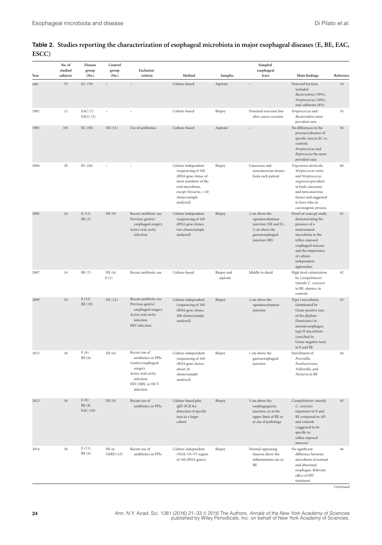# **Table 2. Studies reporting the characterization of esophageal microbiota in major esophageal diseases (E, BE, EAC, ESCC)**

| Year | No. of<br>studied<br>subjects | Disease<br>group<br>(No.)  | Control<br>group<br>(No.) | Exclusion<br>criteria                                                                                                                     | Method                                                                                                                                                             | Samples                | Sampled<br>esophageal<br>tract                                                                                  | Main findings                                                                                                                                                                                              | Reference |
|------|-------------------------------|----------------------------|---------------------------|-------------------------------------------------------------------------------------------------------------------------------------------|--------------------------------------------------------------------------------------------------------------------------------------------------------------------|------------------------|-----------------------------------------------------------------------------------------------------------------|------------------------------------------------------------------------------------------------------------------------------------------------------------------------------------------------------------|-----------|
| 1981 | 79                            | EC (79)                    |                           |                                                                                                                                           | Culture-based                                                                                                                                                      | Aspirate               |                                                                                                                 | Detected bacteria<br>included<br>Bacteroidetes (39%),<br>Streptococcus (10%),<br>and coliforms (8%)                                                                                                        | 34        |
| 1982 | 12                            | EAC(7)<br>$\text{ESCC}(5)$ |                           |                                                                                                                                           | Culture-based                                                                                                                                                      | Biopsy                 | Proximal resection line<br>after cancer excision                                                                | Streptococcus and<br>Bacteroidetes most<br>prevalent taxa                                                                                                                                                  | 35        |
| 1983 | 101                           | EC(50)                     | NE (51)                   | Use of antibiotics                                                                                                                        | Culture-based                                                                                                                                                      | Aspirate               |                                                                                                                 | No differences in the<br>presence/absence of<br>specific taxa in EC vs.<br>controls.<br>Streptococcus and<br>Peptococcus the most<br>prevalent taxa                                                        | 36        |
| 2004 | 20                            | EC(20)                     |                           |                                                                                                                                           | Culture independent<br>(sequencing of 16S<br>rRNA gene clones of<br>most members of the<br>oral microbiota,<br>except Neisseria, >10<br>clones/sample<br>analyzed) | Biopsy                 | Cancerous and<br>noncancerous tissues<br>from each patient                                                      | Treponema denticola,<br>Streptococcus mitis,<br>and Streptococcus<br>anginosus prevalent<br>in both cancerous<br>and noncancerous<br>tissues and suggested<br>to have roles in<br>carcinogenic process     | 68        |
| 2005 | 24                            | E(12)<br>BE(3)             | NE(9)                     | Recent antibiotic use<br>Previous gastric/<br>esophageal surgery<br>Active oral cavity<br>infection                                       | Culture independent<br>(sequencing of 16S<br>rRNA gene clones,<br>two clones/sample<br>analyzed)                                                                   | Biopsy                 | 2 cm above the<br>squamocolumnar<br>junction (NE and E),<br>2 cm above the<br>gastroesophageal<br>junction (BE) | Proof-of-concept study<br>demonstrating the<br>presence of a<br>nontransient<br>microbiota in the<br>reflux-exposed<br>esophageal mucosa<br>and the importance<br>of culture-<br>independent<br>approaches | 41        |
| 2007 | 14                            | BE (7)                     | NE(6)<br>E(1)             | Recent antibiotic use                                                                                                                     | Culture-based                                                                                                                                                      | Biopsy and<br>aspirate | Middle to distal                                                                                                | High-level colonization<br>by Campylobacter<br>(mostly C. concisus)<br>in BE, absence in<br>controls                                                                                                       | 42        |
| 2009 | 34                            | E(12)<br>BE (10)           | NE (12)                   | Recent antibiotic use<br>Previous gastric/<br>esophageal surgery<br>Active oral cavity<br>infection<br>HIV infection                      | Culture-independent<br>(sequencing of 16S<br>rRNA gene clones,<br>200 clones/sample<br>analyzed)                                                                   | Biopsy                 | 2 cm above the<br>squamocolumnar<br>junction                                                                    | Type I microbiota<br>(dominated by<br>Gram-positive taxa<br>of the phylum<br>Firmicutes) in<br>normal esophagus,<br>type II microbiota<br>(enriched in<br>Gram-negative taxa)<br>in E and BE               | 43        |
| 2013 | 18                            | E(6)<br>BE (6)             | NE(6)                     | Recent use of<br>antibiotics or PPIs<br>Gastric/esophageal<br>surgery<br>Active oral cavity<br>infection<br>HIV, HBV, or HCV<br>infection | Culture-independent<br>(sequencing of 16S<br>rRNA gene clones,<br>about 24<br>clones/sample<br>analyzed)                                                           | Biopsy                 | 1 cm above the<br>gastroesophageal<br>junction                                                                  | Enrichment of<br>Prevotella.<br>Fusobacterium,<br>Veillonella, and<br>Neisseria in BE                                                                                                                      | 44        |
| 2013 | 34                            | E(8)<br>BE (8)<br>EAC (10) | NE(8)                     | Recent use of<br>antibiotics or PPIs                                                                                                      | Culture-based plus<br>qRT-PCR for<br>detection of specific<br>taxa in a larger<br>cohort                                                                           | Biopsy                 | 5 cm above the<br>esophagogastric<br>junction, or at the<br>upper limit of BE or<br>at site of pathology        | Campylobacter (mostly<br>C. concisus)<br>expansion in E and<br>BE compared to AD<br>and controls<br>(suggested to be<br>specific to<br>reflux-exposed<br>mucosa)                                           | $45\,$    |
| 2014 | 34                            | E(13)<br>BE (6)            | NE in<br><b>GERD</b> (15) | Recent use of<br>antibiotics or PPIs                                                                                                      | Culture-independent<br>(NGS, V6-V7 region<br>of 16S rRNA genes)                                                                                                    | Biopsy                 | Normal-appearing<br>mucosa above the<br>inflammation site or<br>BE                                              | No significant<br>difference between<br>microbiota of normal<br>and abnormal<br>esophagus. Relevant<br>effect of PPI<br>treatment                                                                          | 46        |

*Continued*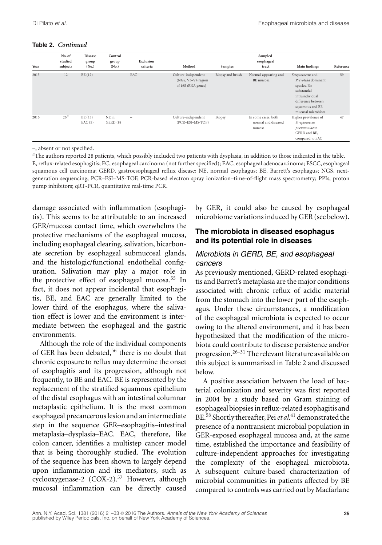#### **Table 2.** *Continued*

| Year | No. of<br>studied<br>subjects | <b>Disease</b><br>group<br>(No.) | Control<br>group<br>(No.) | Exclusion<br>criteria | Method                                                          | Samples          | Sampled<br>esophageal<br>tract                       | Main findings                                                                                                                                            | Reference |
|------|-------------------------------|----------------------------------|---------------------------|-----------------------|-----------------------------------------------------------------|------------------|------------------------------------------------------|----------------------------------------------------------------------------------------------------------------------------------------------------------|-----------|
| 2015 | 12                            | BE (12)                          | $\overline{\phantom{a}}$  | EAC                   | Culture-independent<br>(NGS, V3-V4 region<br>of 16S rRNA genes) | Biopsy and brush | Normal-appearing and<br>BE mucosa                    | Streptococcus and<br>Prevotella dominant<br>species. No<br>substantial<br>intraindividual<br>difference between<br>squamous and BE<br>mucosal microbiota | 59        |
| 2016 | 26 <sup>a</sup>               | BE (13)<br>EAC(5)                | NE in<br>GERD (8)         | $\sim$                | Culture-independent<br>(PCR-ESI-MS-TOF)                         | Biopsy           | In some cases, both<br>normal and diseased<br>mucosa | Higher prevalence of<br>Streptococcus<br>pneumoniae in<br>GERD and BE.<br>compared to EAC                                                                | 47        |

–, absent or not specified.

*<sup>a</sup>*The authors reported 28 patients, which possibly included two patients with dysplasia, in addition to those indicated in the table. E, reflux-related esophagitis; EC, esophageal carcinoma (not further specified); EAC, esophageal adenocarcinoma; ESCC, esophageal squamous cell carcinoma; GERD, gastroesophageal reflux disease; NE, normal esophagus; BE, Barrett's esophagus; NGS, nextgeneration sequencing; PCR–ESI–MS-TOF, PCR-based electron spray ionization–time-of-flight mass spectrometry; PPIs, proton pump inhibitors; qRT-PCR, quantitative real-time PCR.

damage associated with inflammation (esophagitis). This seems to be attributable to an increased GER/mucosa contact time, which overwhelms the protective mechanisms of the esophageal mucosa, including esophageal clearing, salivation, bicarbonate secretion by esophageal submucosal glands, and the histologic/functional endothelial configuration. Salivation may play a major role in the protective effect of esophageal mucosa.<sup>55</sup> In fact, it does not appear incidental that esophagitis, BE, and EAC are generally limited to the lower third of the esophagus, where the salivation effect is lower and the environment is intermediate between the esophageal and the gastric environments.

Although the role of the individual components of GER has been debated,<sup>56</sup> there is no doubt that chronic exposure to reflux may determine the onset of esophagitis and its progression, although not frequently, to BE and EAC. BE is represented by the replacement of the stratified squamous epithelium of the distal esophagus with an intestinal columnar metaplastic epithelium. It is the most common esophageal precancerous lesion and an intermediate step in the sequence GER–esophagitis–intestinal metaplasia–dysplasia–EAC. EAC, therefore, like colon cancer, identifies a multistep cancer model that is being thoroughly studied. The evolution of the sequence has been shown to largely depend upon inflammation and its mediators, such as cyclooxygenase-2 (COX-2).57 However, although mucosal inflammation can be directly caused by GER, it could also be caused by esophageal microbiome variations induced by GER (see below).

# **The microbiota in diseased esophagus and its potential role in diseases**

# *Microbiota in GERD, BE, and esophageal cancers*

As previously mentioned, GERD-related esophagitis and Barrett's metaplasia are the major conditions associated with chronic reflux of acidic material from the stomach into the lower part of the esophagus. Under these circumstances, a modification of the esophageal microbiota is expected to occur owing to the altered environment, and it has been hypothesized that the modification of the microbiota could contribute to disease persistence and/or progression.26–31 The relevant literature available on this subject is summarized in Table 2 and discussed below.

A positive association between the load of bacterial colonization and severity was first reported in 2004 by a study based on Gram staining of esophageal biopsiesin reflux-related esophagitis and BE.<sup>58</sup> Shortly thereafter, Pei*et al*. <sup>41</sup> demonstrated the presence of a nontransient microbial population in GER-exposed esophageal mucosa and, at the same time, established the importance and feasibility of culture-independent approaches for investigating the complexity of the esophageal microbiota. A subsequent culture-based characterization of microbial communities in patients affected by BE compared to controls was carried out by Macfarlane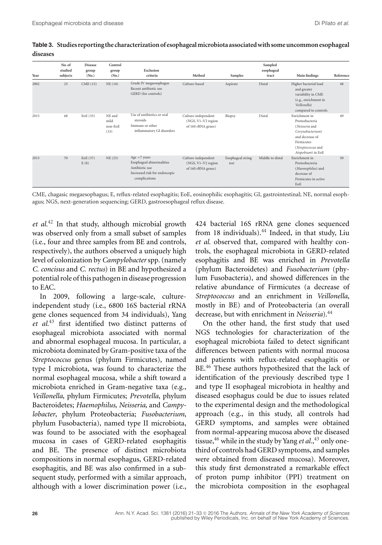### **Table 3. Studies reporting the characterization of esophagealmicrobiota associatedwith some uncommon esophageal diseases**

| Year | No. of<br>studied<br>subjects | <b>Disease</b><br>group<br>(No.) | Control<br>group<br>(No.)         | Exclusion<br>criteria                                                                                           | Method                                                          | Samples                   | Sampled<br>esophageal<br>tract | Main findings                                                                                                                                     | Reference |
|------|-------------------------------|----------------------------------|-----------------------------------|-----------------------------------------------------------------------------------------------------------------|-----------------------------------------------------------------|---------------------------|--------------------------------|---------------------------------------------------------------------------------------------------------------------------------------------------|-----------|
| 2002 | 25                            | CME(15)                          | NE(10)                            | Grade IV megaesophagus<br>Recent antibiotic use<br>GERD (for controls)                                          | Culture-based                                                   | Aspirate                  | Distal                         | Higher bacterial load<br>and greater<br>variability in CME<br>(e.g., enrichment in<br>Veillonella)<br>compared to controls                        | 48        |
| 2015 | 68                            | EoE(35)                          | NE and<br>mild<br>non-EoE<br>(33) | Use of antibiotics or oral<br>steroids<br>Immune or other<br>inflammatory GI disorders                          | Culture-independent<br>(NGS, V1-V2 region<br>of 16S rRNA genes) | Biopsy                    | Distal                         | Enrichment in<br>Proteobacteria<br>(Neisseria and<br>Corynebacterium)<br>and decrease of<br>Firmicutes<br>(Streptococcus and<br>Atopobium) in EoE | 49        |
| 2015 | 70                            | EoE (37)<br>E(8)                 | NE(25)                            | Age $<$ 7 years<br>Esophageal abnormalities<br>Antibiotic use<br>Increased risk for endoscopic<br>complications | Culture-independent<br>(NGS, V1-V2 region<br>of 16S rRNA genes) | Esophageal string<br>test | Middle to distal               | Enrichment in<br>Proteobacteria<br>(Haemophilus) and<br>decrease of<br>Firmicutes in active<br>EoE                                                | 50        |

CME, chagasic megaesophagus; E, reflux-related esophagitis; EoE, eosinophilic esophagitis; GI, gastrointestinal; NE, normal esophagus; NGS, next-generation sequencing; GERD, gastroesophageal reflux disease.

*et al.*<sup>42</sup> In that study, although microbial growth was observed only from a small subset of samples (i.e., four and three samples from BE and controls, respectively), the authors observed a uniquely high level of colonization by *Campylobacter* spp. (namely *C. concisus* and *C. rectus*) in BE and hypothesized a potential role of this pathogen in disease progression to EAC.

In 2009, following a large-scale, cultureindependent study (i.e., 6800 16S bacterial rRNA gene clones sequenced from 34 individuals), Yang *et al.*<sup>43</sup> first identified two distinct patterns of esophageal microbiota associated with normal and abnormal esophageal mucosa. In particular, a microbiota dominated by Gram-positive taxa of the *Streptococcus* genus (phylum Firmicutes), named type I microbiota, was found to characterize the normal esophageal mucosa, while a shift toward a microbiota enriched in Gram-negative taxa (e.g., *Veillonella*, phylum Firmicutes; *Prevotella*, phylum Bacteroidetes; *Haemophilus*, *Neisseria*, and *Campylobacter*, phylum Proteobacteria; *Fusobacterium*, phylum Fusobacteria), named type II microbiota, was found to be associated with the esophageal mucosa in cases of GERD-related esophagitis and BE. The presence of distinct microbiota compositions in normal esophagus, GERD-related esophagitis, and BE was also confirmed in a subsequent study, performed with a similar approach, although with a lower discrimination power (i.e.,

424 bacterial 16S rRNA gene clones sequenced from 18 individuals). $44$  Indeed, in that study, Liu *et al.* observed that, compared with healthy controls, the esophageal microbiota in GERD-related esophagitis and BE was enriched in *Prevotella* (phylum Bacteroidetes) and *Fusobacterium* (phylum Fusobacteria), and showed differences in the relative abundance of Firmicutes (a decrease of *Streptococcus* and an enrichment in *Veillonella*, mostly in BE) and of Proteobacteria (an overall decrease, but with enrichment in *Neisseria*).44

On the other hand, the first study that used NGS technologies for characterization of the esophageal microbiota failed to detect significant differences between patients with normal mucosa and patients with reflux-related esophagitis or BE.<sup>46</sup> These authors hypothesized that the lack of identification of the previously described type I and type II esophageal microbiota in healthy and diseased esophagus could be due to issues related to the experimental design and the methodological approach (e.g., in this study, all controls had GERD symptoms, and samples were obtained from normal-appearing mucosa above the diseased tissue,<sup>46</sup> while in the study by Yang *et al.*, <sup>43</sup> only onethird of controls had GERD symptoms, and samples were obtained from diseased mucosa). Moreover, this study first demonstrated a remarkable effect of proton pump inhibitor (PPI) treatment on the microbiota composition in the esophageal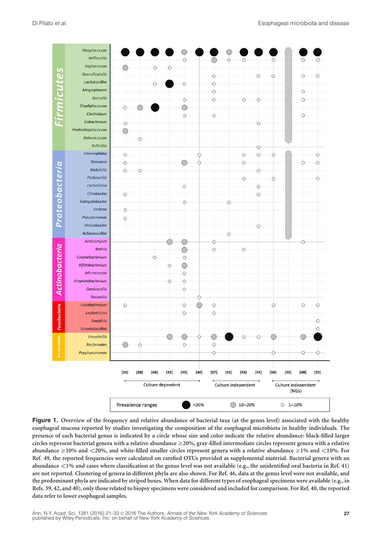

**Figure 1. Overview of the frequency and relative abundance of bacterial taxa (at the genus level) associated with the healthy esophageal mucosa reported by studies investigating the composition of the esophageal microbiota in healthy individuals. The presence of each bacterial genus is indicated by a circle whose size and color indicate the relative abundance: black-filled larger circles represent bacterial genera with a relative abundance 20%, gray-filled intermediate circles represent genera with a relative abundance 10% and** *<***20%, and white-filled smaller circles represent genera with a relative abundance 1% and** *<***10%. For Ref. 49, the reported frequencies were calculated on rarefied OTUs provided as supplemental material. Bacterial genera with an abundance** *<***1% and cases where classification at the genus level was not available (e.g., the unidentified oral bacteria in Ref. 41) are not reported. Clustering of genera in different phyla are also shown. For Ref. 46, data at the genus level were not available, and the predominant phyla are indicated by striped boxes. When data for different types of esophageal specimens were available (e.g., in Refs. 39, 42, and 40), only those related to biopsy specimens were considered and included for comparison. For Ref. 40, the reported data refer to lower esophageal samples.**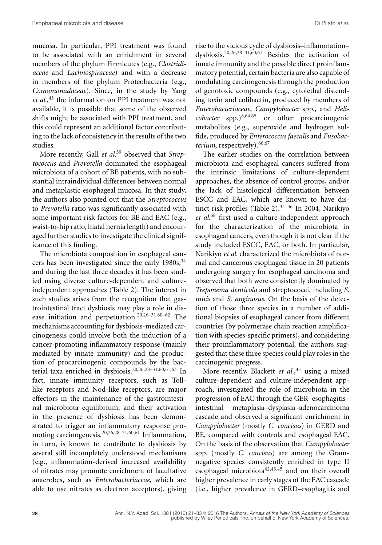mucosa. In particular, PPI treatment was found to be associated with an enrichment in several members of the phylum Firmicutes (e.g., *Clostridiaceae* and *Lachnospiraceae*) and with a decrease in members of the phylum Proteobacteria (e.g., *Comamonadaceae*). Since, in the study by Yang *et al.*, <sup>43</sup> the information on PPI treatment was not available, it is possible that some of the observed shifts might be associated with PPI treatment, and this could represent an additional factor contributing to the lack of consistency in the results of the two studies.

More recently, Gall *et al.*<sup>59</sup> observed that *Streptococcus* and *Prevotella* dominated the esophageal microbiota of a cohort of BE patients, with no substantial intraindividual differences between normal and metaplastic esophageal mucosa. In that study, the authors also pointed out that the *Streptococcus* to *Prevotella* ratio was significantly associated with some important risk factors for BE and EAC (e.g., waist-to-hip ratio, hiatal hernia length) and encouraged further studies to investigate the clinical significance of this finding.

The microbiota composition in esophageal cancers has been investigated since the early  $1980s$ ,  $34$ and during the last three decades it has been studied using diverse culture-dependent and cultureindependent approaches (Table 2). The interest in such studies arises from the recognition that gastrointestinal tract dysbiosis may play a role in disease initiation and perpetuation.20,26–31,60–62 The mechanisms accountingfor dysbiosis-mediated carcinogenesis could involve both the induction of a cancer-promoting inflammatory response (mainly mediated by innate immunity) and the production of procarcinogenic compounds by the bacterial taxa enriched in dysbiosis.20,26,28–31,60,61,63 In fact, innate immunity receptors, such as Tolllike receptors and Nod-like receptors, are major effectors in the maintenance of the gastrointestinal microbiota equilibrium, and their activation in the presence of dysbiosis has been demonstrated to trigger an inflammatory response promoting carcinogenesis.<sup>20,26,28–31,60,61</sup> Inflammation, in turn, is known to contribute to dysbiosis by several still incompletely understood mechanisms (e.g., inflammation-derived increased availability of nitrates may promote enrichment of facultative anaerobes, such as *Enterobacteriaceae*, which are able to use nitrates as electron acceptors), giving rise to the vicious cycle of dysbiosis–inflammation– dysbiosis.20,26,28–31,60,61 Besides the activation of innate immunity and the possible direct proinflammatory potential, certain bacteria are also capable of modulating carcinogenesis through the production of genotoxic compounds (e.g., cytolethal distending toxin and colibactin, produced by members of *Enterobacteriaceae*, *Campylobacter* spp., and *Helicobacter* spp.)8,64,65 or other procarcinogenic metabolites (e.g., superoxide and hydrogen sulfide, produced by *Enterococcus faecalis* and *Fusobac*terium, respectively).<sup>66,67</sup>

The earlier studies on the correlation between microbiota and esophageal cancers suffered from the intrinsic limitations of culture-dependent approaches, the absence of control groups, and/or the lack of histological differentiation between ESCC and EAC, which are known to have distinct risk profiles (Table 2). $34-36$  In 2004, Narikiyo *et al.*<sup>68</sup> first used a culture-independent approach for the characterization of the microbiota in esophageal cancers, even though it is not clear if the study included ESCC, EAC, or both. In particular, Narikiyo *et al.* characterized the microbiota of normal and cancerous esophageal tissue in 20 patients undergoing surgery for esophageal carcinoma and observed that both were consistently dominated by *Treponema denticola* and streptococci, including *S. mitis* and *S. anginosus*. On the basis of the detection of those three species in a number of additional biopsies of esophageal cancer from different countries (by polymerase chain reaction amplification with species-specific primers), and considering their proinflammatory potential, the authors suggested that these three species could play roles in the carcinogenic progress.

More recently, Blackett *et al.*, <sup>45</sup> using a mixed culture-dependent and culture-independent approach, investigated the role of microbiota in the progression of EAC through the GER–esophagitis– intestinal metaplasia–dysplasia–adenocarcinoma cascade and observed a significant enrichment in *Campylobacter* (mostly *C. concisus*) in GERD and BE, compared with controls and esophageal EAC. On the basis of the observation that *Campylobacter* spp. (mostly *C. concisus*) are among the Gramnegative species consistently enriched in type II esophageal microbiota<sup>42,43,45</sup> and on their overall higher prevalence in early stages of the EAC cascade (i.e., higher prevalence in GERD–esophagitis and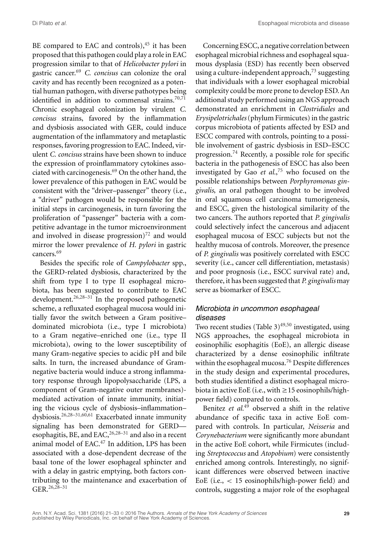BE compared to EAC and controls), $45$  it has been proposed that this pathogen could play a role in EAC progression similar to that of *Helicobacter pylori* in gastric cancer.<sup>69</sup> *C. concisus* can colonize the oral cavity and has recently been recognized as a potential human pathogen, with diverse pathotypes being identified in addition to commensal strains.<sup>70,71</sup> Chronic esophageal colonization by virulent *C. concisus* strains, favored by the inflammation and dysbiosis associated with GER, could induce augmentation of the inflammatory and metaplastic responses, favoring progression to EAC. Indeed, virulent *C. concisus* strains have been shown to induce the expression of proinflammatory cytokines associated with carcinogenesis.69 On the other hand, the lower prevalence of this pathogen in EAC would be consistent with the "driver–passenger" theory (i.e., a "driver" pathogen would be responsible for the initial steps in carcinogenesis, in turn favoring the proliferation of "passenger" bacteria with a competitive advantage in the tumor microenvironment and involved in disease progression) $^{72}$  and would mirror the lower prevalence of *H. pylori* in gastric cancers.69

Besides the specific role of *Campylobacter* spp., the GERD-related dysbiosis, characterized by the shift from type I to type II esophageal microbiota, has been suggested to contribute to EAC development.<sup>26,28–31</sup> In the proposed pathogenetic scheme, a refluxated esophageal mucosa would initially favor the switch between a Gram positive– dominated microbiota (i.e., type I microbiota) to a Gram negative–enriched one (i.e., type II microbiota), owing to the lower susceptibility of many Gram-negative species to acidic pH and bile salts. In turn, the increased abundance of Gramnegative bacteria would induce a strong inflammatory response through lipopolysaccharide (LPS, a component of Gram-negative outer membranes) mediated activation of innate immunity, initiating the vicious cycle of dysbiosis–inflammation– dysbiosis.26,28–31,60,61 Exacerbated innate immunity signaling has been demonstrated for GERD esophagitis, BE, and EAC,  $^{26,28-31}$  and also in a recent animal model of EAC.<sup>47</sup> In addition, LPS has been associated with a dose-dependent decrease of the basal tone of the lower esophageal sphincter and with a delay in gastric emptying, both factors contributing to the maintenance and exacerbation of GER.26,28–31

Concerning ESCC, a negative correlation between esophageal microbial richness and esophageal squamous dysplasia (ESD) has recently been observed using a culture-independent approach, $73$  suggesting that individuals with a lower esophageal microbial complexity could be more prone to develop ESD. An additional study performed using an NGS approach demonstrated an enrichment in *Clostridiales* and *Erysipelotrichales*(phylum Firmicutes) in the gastric corpus microbiota of patients affected by ESD and ESCC compared with controls, pointing to a possible involvement of gastric dysbiosis in ESD–ESCC progression.<sup>74</sup> Recently, a possible role for specific bacteria in the pathogenesis of ESCC has also been investigated by Gao *et al.*, <sup>75</sup> who focused on the possible relationships between *Porphyromonas gingivalis*, an oral pathogen thought to be involved in oral squamous cell carcinoma tumorigenesis, and ESCC, given the histological similarity of the two cancers. The authors reported that *P. gingivalis* could selectively infect the cancerous and adjacent esophageal mucosa of ESCC subjects but not the healthy mucosa of controls. Moreover, the presence of *P. gingivalis* was positively correlated with ESCC severity (i.e., cancer cell differentiation, metastasis) and poor prognosis (i.e., ESCC survival rate) and, therefore, it has been suggested that *P. gingivalis* may serve as biomarker of ESCC.

## *Microbiota in uncommon esophageal diseases*

Two recent studies (Table  $3)^{49,50}$  investigated, using NGS approaches, the esophageal microbiota in eosinophilic esophagitis (EoE), an allergic disease characterized by a dense eosinophilic infiltrate within the esophageal mucosa.<sup>76</sup> Despite differences in the study design and experimental procedures, both studies identified a distinct esophageal microbiota in active EoE (i.e., with  $\geq$  15 eosinophils/highpower field) compared to controls.

Benitez *et al.*<sup>49</sup> observed a shift in the relative abundance of specific taxa in active EoE compared with controls. In particular, *Neisseria* and *Corynebacterium* were significantly more abundant in the active EoE cohort, while Firmicutes (including *Streptococcus* and *Atopobium*) were consistently enriched among controls. Interestingly, no significant differences were observed between inactive EoE (i.e., *<* 15 eosinophils/high-power field) and controls, suggesting a major role of the esophageal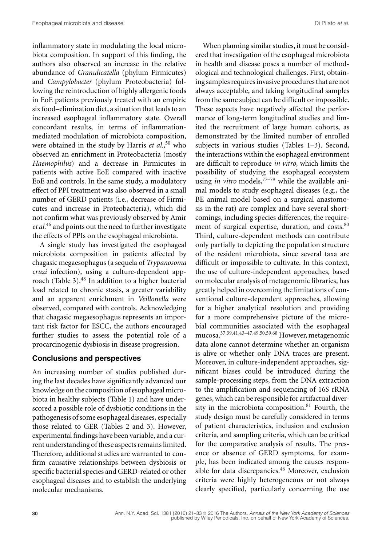inflammatory state in modulating the local microbiota composition. In support of this finding, the authors also observed an increase in the relative abundance of *Granulicatella* (phylum Firmicutes) and *Campylobacter* (phylum Proteobacteria) following the reintroduction of highly allergenic foods in EoE patients previously treated with an empiric sixfood–elimination diet, a situation that leads to an increased esophageal inflammatory state. Overall concordant results, in terms of inflammationmediated modulation of microbiota composition, were obtained in the study by Harris *et al.*, <sup>50</sup> who observed an enrichment in Proteobacteria (mostly *Haemophilus*) and a decrease in Firmicutes in patients with active EoE compared with inactive EoE and controls. In the same study, a modulatory effect of PPI treatment was also observed in a small number of GERD patients (i.e., decrease of Firmicutes and increase in Proteobacteria), which did not confirm what was previously observed by Amir *et al.*<sup>46</sup> and points out the need to further investigate the effects of PPIs on the esophageal microbiota.

A single study has investigated the esophageal microbiota composition in patients affected by chagasic megaesophagus (a sequela of *Trypanosoma cruzi* infection), using a culture-dependent approach (Table 3).<sup>48</sup> In addition to a higher bacterial load related to chronic stasis, a greater variability and an apparent enrichment in *Veillonella* were observed, compared with controls. Acknowledging that chagasic megaesophagus represents an important risk factor for ESCC, the authors encouraged further studies to assess the potential role of a procarcinogenic dysbiosis in disease progression.

## **Conclusions and perspectives**

An increasing number of studies published during the last decades have significantly advanced our knowledge on the composition of esophageal microbiota in healthy subjects (Table 1) and have underscored a possible role of dysbiotic conditions in the pathogenesis of some esophageal diseases, especially those related to GER (Tables 2 and 3). However, experimental findings have been variable, and a current understanding of these aspects remains limited. Therefore, additional studies are warranted to confirm causative relationships between dysbiosis or specific bacterial species and GERD-related or other esophageal diseases and to establish the underlying molecular mechanisms.

When planning similar studies, it must be considered that investigation of the esophageal microbiota in health and disease poses a number of methodological and technological challenges. First, obtaining samples requires invasive procedures that are not always acceptable, and taking longitudinal samples from the same subject can be difficult or impossible. These aspects have negatively affected the performance of long-term longitudinal studies and limited the recruitment of large human cohorts, as demonstrated by the limited number of enrolled subjects in various studies (Tables 1–3). Second, the interactions within the esophageal environment are difficult to reproduce *in vitro*, which limits the possibility of studying the esophageal ecosystem using *in vitro* models, 77-79 while the available animal models to study esophageal diseases (e.g., the BE animal model based on a surgical anastomosis in the rat) are complex and have several shortcomings, including species differences, the requirement of surgical expertise, duration, and costs.<sup>80</sup> Third, culture-dependent methods can contribute only partially to depicting the population structure of the resident microbiota, since several taxa are difficult or impossible to cultivate. In this context, the use of culture-independent approaches, based on molecular analysis of metagenomic libraries, has greatly helped in overcoming the limitations of conventional culture-dependent approaches, allowing for a higher analytical resolution and providing for a more comprehensive picture of the microbial communities associated with the esophageal mucosa.37,39,41,43–47,49,50,59,68 However, metagenomic data alone cannot determine whether an organism is alive or whether only DNA traces are present. Moreover, in culture-independent approaches, significant biases could be introduced during the sample-processing steps, from the DNA extraction to the amplification and sequencing of 16S rRNA genes, which can be responsible for artifactual diversity in the microbiota composition. $81$  Fourth, the study design must be carefully considered in terms of patient characteristics, inclusion and exclusion criteria, and sampling criteria, which can be critical for the comparative analysis of results. The presence or absence of GERD symptoms, for example, has been indicated among the causes responsible for data discrepancies.<sup>46</sup> Moreover, exclusion criteria were highly heterogeneous or not always clearly specified, particularly concerning the use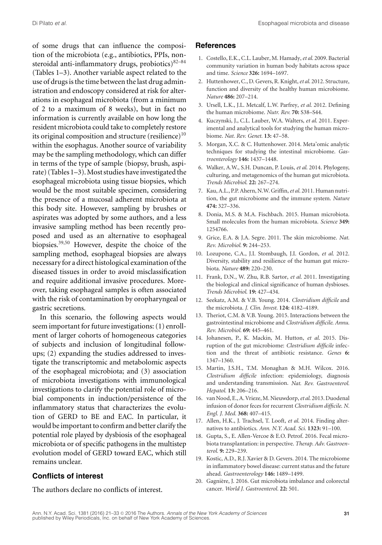of some drugs that can influence the composition of the microbiota (e.g., antibiotics, PPIs, nonsteroidal anti-inflammatory drugs, probiotics) $82-84$ (Tables 1–3). Another variable aspect related to the use of drugs is the time between the last drug administration and endoscopy considered at risk for alterations in esophageal microbiota (from a minimum of 2 to a maximum of 8 weeks), but in fact no information is currently available on how long the resident microbiota could take to completely restore its original composition and structure (resilience)<sup>10</sup> within the esophagus. Another source of variability may be the sampling methodology, which can differ in terms of the type of sample (biopsy, brush, aspirate) (Tables 1–3).Most studies have investigated the esophageal microbiota using tissue biopsies, which would be the most suitable specimen, considering the presence of a mucosal adherent microbiota at this body site. However, sampling by brushes or aspirates was adopted by some authors, and a less invasive sampling method has been recently proposed and used as an alternative to esophageal biopsies.39,50 However, despite the choice of the sampling method, esophageal biopsies are always necessary for a direct histological examination of the diseased tissues in order to avoid misclassification and require additional invasive procedures. Moreover, taking esophageal samples is often associated with the risk of contamination by oropharyngeal or gastric secretions.

In this scenario, the following aspects would seem important for future investigations: (1) enrollment of larger cohorts of homogeneous categories of subjects and inclusion of longitudinal followups; (2) expanding the studies addressed to investigate the transcriptomic and metabolomic aspects of the esophageal microbiota; and (3) association of microbiota investigations with immunological investigations to clarify the potential role of microbial components in induction/persistence of the inflammatory status that characterizes the evolution of GERD to BE and EAC. In particular, it would be important to confirm and better clarify the potential role played by dysbiosis of the esophageal microbiota or of specific pathogens in the multistep evolution model of GERD toward EAC, which still remains unclear.

# **Conflicts of interest**

The authors declare no conflicts of interest.

#### **References**

- 1. Costello, E.K., C.L. Lauber, M. Hamady,*et al*. 2009. Bacterial community variation in human body habitats across space and time. *Science* **326:** 1694–1697.
- 2. Huttenhower, C., D. Gevers, R. Knight,*et al*. 2012. Structure, function and diversity of the healthy human microbiome. *Nature* **486:** 207–214.
- 3. Ursell, L.K., J.L. Metcalf, L.W. Parfrey, *et al*. 2012. Defining the human microbiome. *Nutr. Rev.* **70:** S38–S44.
- 4. Kuczynski, J., C.L. Lauber, W.A. Walters, *et al*. 2011. Experimental and analytical tools for studying the human microbiome. *Nat. Rev. Genet.* **13:** 47–58.
- 5. Morgan, X.C. & C. Huttenhower. 2014. Meta'omic analytic techniques for studying the intestinal microbiome. *Gastroenterology* **146:** 1437–1448.
- 6. Walker, A.W., S.H. Duncan, P. Louis, *et al*. 2014. Phylogeny, culturing, and metagenomics of the human gut microbiota. *Trends Microbiol*. **22:** 267–274.
- 7. Kau, A.L., P.P. Ahern, N.W. Griffin,*et al*. 2011. Human nutrition, the gut microbiome and the immune system. *Nature* **474:** 327–336.
- 8. Donia, M.S. & M.A. Fischbach. 2015. Human microbiota. Small molecules from the human microbiota. *Science* **349:** 1254766.
- 9. Grice, E.A. & J.A. Segre. 2011. The skin microbiome. *Nat. Rev. Microbiol.* **9:** 244–253.
- 10. Lozupone, C.A., J.I. Stombaugh, J.I. Gordon, *et al*. 2012. Diversity, stability and resilience of the human gut microbiota. *Nature* **489:** 220–230.
- 11. Frank, D.N., W. Zhu, R.B. Sartor, *et al*. 2011. Investigating the biological and clinical significance of human dysbioses. *Trends Microbiol*. **19:** 427–434.
- 12. Seekatz, A.M. & V.B. Young. 2014. *Clostridium difficile* and the microbiota. *J. Clin. Invest.* **124:** 4182–4189.
- 13. Theriot, C.M. & V.B. Young. 2015. Interactions between the gastrointestinal microbiome and *Clostridium difficile*. *Annu. Rev. Microbiol.* **69:** 445–461.
- 14. Johanesen, P., K. Mackin, M. Hutton, *et al*. 2015. Disruption of the gut microbiome: *Clostridium difficile* infection and the threat of antibiotic resistance. *Genes* **6:** 1347–1360.
- 15. Martin, J.S.H., T.M. Monaghan & M.H. Wilcox. 2016. *Clostridium difficile* infection: epidemiology, diagnosis and understanding transmission. *Nat. Rev. Gastroenterol. Hepatol.* **13:** 206–216.
- 16. van Nood, E., A. Vrieze,M. Nieuwdorp,*et al*. 2013. Duodenal infusion of donor feces for recurrent *Clostridium difficile*. *N. Engl. J. Med.* **368:** 407–415.
- 17. Allen, H.K., J. Trachsel, T. Looft, *et al*. 2014. Finding alternatives to antibiotics. *Ann. N.Y. Acad. Sci.* **1323:** 91–100.
- 18. Gupta, S., E. Allen-Vercoe & E.O. Petrof. 2016. Fecal microbiota transplantation: in perspective. *Therap. Adv. Gastroenterol.* **9:** 229–239.
- 19. Kostic, A.D., R.J. Xavier & D. Gevers. 2014. The microbiome in inflammatory bowel disease: current status and the future ahead. *Gastroenterology* **146:** 1489–1499.
- 20. Gagniere, J. 2016. Gut microbiota imbalance and colorectal ` cancer. *World J. Gastroenterol.* **22:** 501.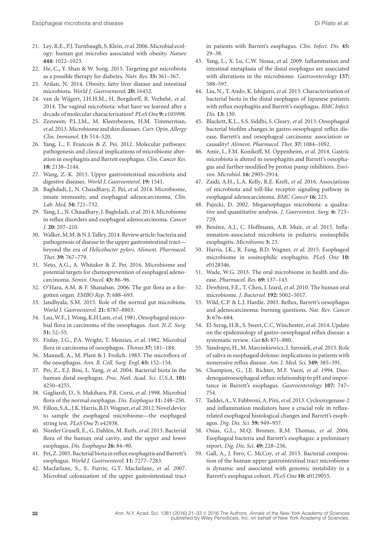- 21. Ley, R.E., P.J. Turnbaugh, S. Klein,*et al*. 2006.Microbial ecology: human gut microbes associated with obesity. *Nature* **444:** 1022–1023.
- 22. He, C., Y. Shan & W. Song. 2015. Targeting gut microbiota as a possible therapy for diabetes. *Nutr. Res.* **35:** 361–367.
- 23. Arslan, N. 2014. Obesity, fatty liver disease and intestinal microbiota. *World J. Gastroenterol.* **20:** 16452.
- 24. van de Wijgert, J.H.H.M., H. Borgdorff, R. Verhelst, *et al.* 2014. The vaginal microbiota: what have we learned after a decade of molecular characterization? *PLoS One* **9:** e105998.
- 25. Zeeuwen, P.L.J.M., M. Kleerebezem, H.M. Timmerman, *et al*. 2013.Microbiome and skin diseases.*Curr. Opin. Allergy Clin. Immunol.* **13:** 514–520.
- 26. Yang, L., F. Francois & Z. Pei. 2012. Molecular pathways: pathogenesis and clinical implications of microbiome alteration in esophagitis and Barrett esophagus. *Clin. Cancer Res.* **18:** 2138–2144.
- 27. Wang, Z.-K. 2013. Upper gastrointestinal microbiota and digestive diseases. *World J. Gastroenterol.* **19:** 1541.
- 28. Baghdadi, J., N. Chaudhary, Z. Pei, *et al*. 2014. Microbiome, innate immunity, and esophageal adenocarcinoma. *Clin. Lab. Med.* **34:** 721–732.
- 29. Yang, L., N. Chaudhary, J. Baghdadi,*et al*. 2014. Microbiome in reflux disorders and esophageal adenocarcinoma. *Cancer J*. **20:** 207–210.
- 30. Walker,M.M. & N.J. Talley. 2014. Review article: bacteria and pathogenesis of disease in the upper gastrointestinal tract beyond the era of *Helicobacter pylori*. *Aliment. Pharmacol. Ther.* **39:** 767–779.
- 31. Neto, A.G., A. Whitaker & Z. Pei. 2016. Microbiome and potential targets for chemoprevention of esophageal adenocarcinoma. *Semin. Oncol.* **43:** 86–96.
- 32. O'Hara, A.M. & F. Shanahan. 2006. The gut flora as a forgotten organ. *EMBO Rep*. **7:** 688–693.
- 33. Jandhyala, S.M. 2015. Role of the normal gut microbiota. *World J. Gastroenterol.* **21:** 8787–8803.
- 34. Lau,W.F., J.Wong, K.H Lam,*et al*. 1981. Oesophageal microbial flora in carcinoma of the oesophagus. *Aust. N.Z. Surg.* **51:** 52–55.
- 35. Finlay, I.G., P.A. Wright, T. Menzies, *et al*. 1982. Microbial flora in carcinoma of oesophagus. *Thorax* **37:** 181–184.
- 36. Mannell, A., M. Plant & J. Frolich. 1983. The microflora of the oesophagus. *Ann. R. Coll. Surg. Engl.* **65:** 152–154.
- 37. Pei, Z., E.J. Bini, L. Yang, *et al*. 2004. Bacterial biota in the human distal esophagus. *Proc. Natl. Acad. Sci. U.S.A.* **101:** 4250–4255.
- 38. Gagliardi, D., S. Makihara, P.R. Corsi, *et al*. 1998. Microbial flora of the normal esophagus. *Dis. Esophagus* **11:** 248–250.
- 39. Fillon, S.A., J.K. Harris, B.D.Wagner,*et al*. 2012. Novel device to sample the esophageal microbiome—the esophageal string test. *PLoS One* **7:** e42938.
- 40. Norder Grusell, E., G. Dahlén, M. Ruth, et al. 2013. Bacterial flora of the human oral cavity, and the upper and lower esophagus. *Dis. Esophagus* **26:** 84–90.
- 41. Pei, Z. 2005. Bacterial biota in reflux esophagitis and Barrett's esophagus. *World J. Gastroenterol.* **11:** 7277–7283.
- 42. Macfarlane, S., E. Furrie, G.T. Macfarlane, *et al*. 2007. Microbial colonization of the upper gastrointestinal tract

in patients with Barrett's esophagus. *Clin. Infect. Dis.* **45:** 29–38.

- 43. Yang, L., X. Lu, C.W. Nossa, *et al*. 2009. Inflammation and intestinal metaplasia of the distal esophagus are associated with alterations in the microbiome. *Gastroenterology* **137:** 588–597.
- 44. Liu, N., T. Ando, K. Ishiguro,*et al*. 2013. Characterization of bacterial biota in the distal esophagus of Japanese patients with reflux esophagitis and Barrett's esophagus. *BMC Infect. Dis.* **13:** 130.
- 45. Blackett, K.L., S.S. Siddhi, S. Cleary,*et al*. 2013. Oesophageal bacterial biofilm changes in gastro-oesophageal reflux disease, Barrett's and oesophageal carcinoma: association or causality? *Aliment. Pharmacol. Ther.* **37:** 1084–1092.
- 46. Amir, I., F.M. Konikoff, M. Oppenheim, *et al*. 2014. Gastric microbiota is altered in oesophagitis and Barrett's oesophagus and further modified by proton pump inhibitors. *Environ. Microbiol.* **16:** 2905–2914.
- 47. Zaidi, A.H., L.A. Kelly, R.E. Kreft, *et al*. 2016. Associations of microbiota and toll-like receptor signaling pathway in esophageal adenocarcinoma. *BMC Cancer* **16:** 225.
- 48. Pajecki, D. 2002. Megaesophagus microbiota: a qualitative and quantitative analysis. *J. Gastrointest. Surg.* **6:** 723– 729.
- 49. Benitez, A.J., C. Hoffmann, A.B. Muir, *et al*. 2015. Inflammation-associated microbiota in pediatric eosinophilic esophagitis. *Microbiome* **3:** 23.
- 50. Harris, J.K., R. Fang, B.D. Wagner, *et al*. 2015. Esophageal microbiome in eosinophilic esophagitis. *PLoS One* **10:** e0128346.
- 51. Wade, W.G. 2013. The oral microbiome in health and disease. *Pharmacol. Res.* **69:** 137–143.
- 52. Dewhirst, F.E., T. Chen, J. Izard, *et al*. 2010. The human oral microbiome. *J. Bacteriol.* **192:** 5002–5017.
- 53. Wild, C.P. & L.J. Hardie. 2003. Reflux, Barrett's oesophagus and adenocarcinoma: burning questions. *Nat. Rev. Cancer* **3:** 676–684.
- 54. El-Serag, H.B., S. Sweet, C.C. Winchester,*et al*. 2014. Update on the epidemiology of gastro-oesophageal reflux disease: a systematic review. *Gut* **63:** 871–880.
- 55. Yandrapu, H., M. Marcinkiewicz, I. Sarosiek,*et al*. 2015. Role of saliva in esophageal defense: implications in patients with nonerosive reflux disease. *Am. J. Med. Sci.* **349:** 385–391.
- 56. Champion, G., J.E. Richter, M.F. Vaezi, *et al*. 1994. Duodenogastroesophageal reflux: relationship to pH and importance in Barrett's esophagus. *Gastroenterology* **107:** 747– 754.
- 57. Taddei, A., V. Fabbroni, A. Pini,*et al*. 2013. Cyclooxygenase-2 and inflammation mediators have a crucial role in refluxrelated esophageal histological changes and Barrett's esophagus. *Dig. Dis. Sci.* **59:** 949–957.
- 58. Osias, G.L., M.Q. Bromer, R.M. Thomas, *et al*. 2004. Esophageal bacteria and Barrett's esophagus: a preliminary report. *Dig. Dis. Sci.* **49:** 228–236.
- 59. Gall, A., J. Fero, C. McCoy, *et al*. 2015. Bacterial composition of the human upper gastrointestinal tract microbiome is dynamic and associated with genomic instability in a Barrett's esophagus cohort. *PLoS One* **10:** e0129055.